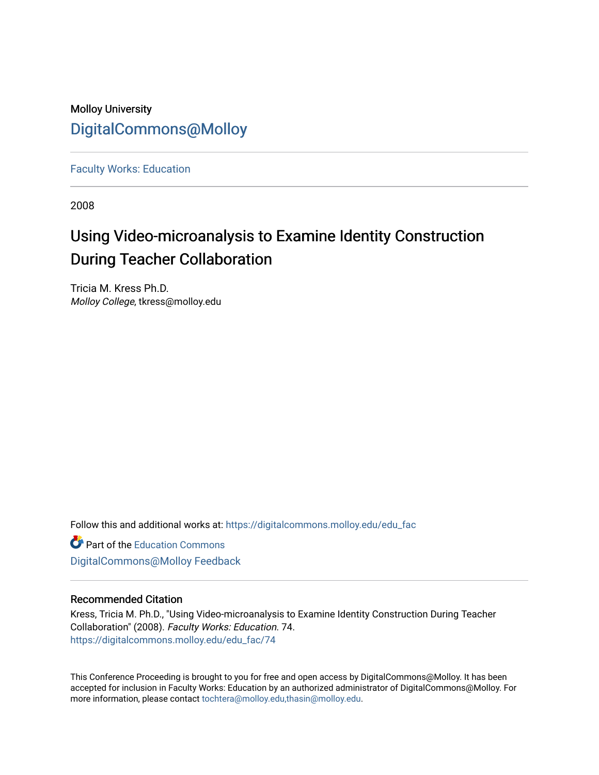## Molloy University [DigitalCommons@Molloy](https://digitalcommons.molloy.edu/)

[Faculty Works: Education](https://digitalcommons.molloy.edu/edu_fac) 

2008

## Using Video-microanalysis to Examine Identity Construction During Teacher Collaboration

Tricia M. Kress Ph.D. Molloy College, tkress@molloy.edu

Follow this and additional works at: [https://digitalcommons.molloy.edu/edu\\_fac](https://digitalcommons.molloy.edu/edu_fac?utm_source=digitalcommons.molloy.edu%2Fedu_fac%2F74&utm_medium=PDF&utm_campaign=PDFCoverPages)

**Part of the [Education Commons](https://network.bepress.com/hgg/discipline/784?utm_source=digitalcommons.molloy.edu%2Fedu_fac%2F74&utm_medium=PDF&utm_campaign=PDFCoverPages)** [DigitalCommons@Molloy Feedback](https://molloy.libwizard.com/f/dcfeedback)

#### Recommended Citation

Kress, Tricia M. Ph.D., "Using Video-microanalysis to Examine Identity Construction During Teacher Collaboration" (2008). Faculty Works: Education. 74. [https://digitalcommons.molloy.edu/edu\\_fac/74](https://digitalcommons.molloy.edu/edu_fac/74?utm_source=digitalcommons.molloy.edu%2Fedu_fac%2F74&utm_medium=PDF&utm_campaign=PDFCoverPages) 

This Conference Proceeding is brought to you for free and open access by DigitalCommons@Molloy. It has been accepted for inclusion in Faculty Works: Education by an authorized administrator of DigitalCommons@Molloy. For more information, please contact [tochtera@molloy.edu,thasin@molloy.edu.](mailto:tochtera@molloy.edu,thasin@molloy.edu)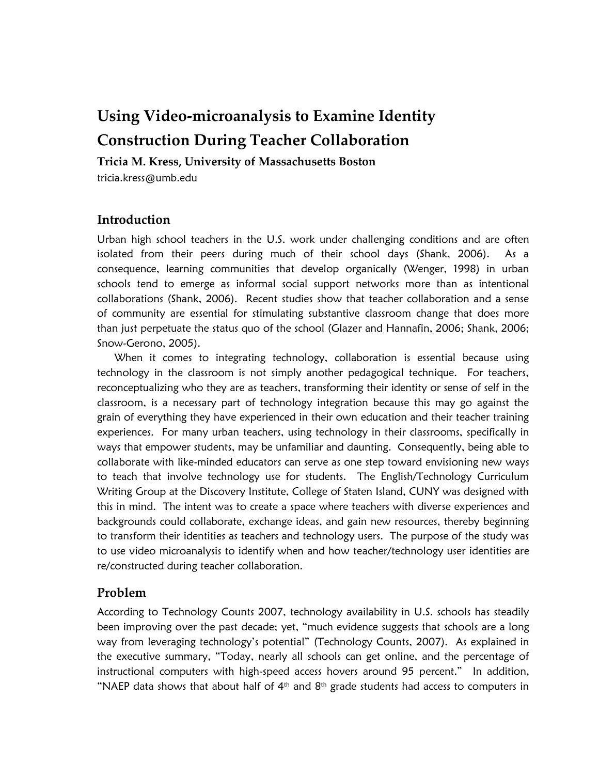# **Using Video-microanalysis to Examine Identity Construction During Teacher Collaboration**

## **Tricia M. Kress, University of Massachusetts Boston**

tricia.kress@umb.edu

## **Introduction**

Urban high school teachers in the U.S. work under challenging conditions and are often isolated from their peers during much of their school days (Shank, 2006). As a consequence, learning communities that develop organically (Wenger, 1998) in urban schools tend to emerge as informal social support networks more than as intentional collaborations (Shank, 2006). Recent studies show that teacher collaboration and a sense of community are essential for stimulating substantive classroom change that does more than just perpetuate the status quo of the school (Glazer and Hannafin, 2006; Shank, 2006; Snow-Gerono, 2005).

When it comes to integrating technology, collaboration is essential because using technology in the classroom is not simply another pedagogical technique. For teachers, reconceptualizing who they are as teachers, transforming their identity or sense of self in the classroom, is a necessary part of technology integration because this may go against the grain of everything they have experienced in their own education and their teacher training experiences. For many urban teachers, using technology in their classrooms, specifically in ways that empower students, may be unfamiliar and daunting. Consequently, being able to collaborate with like-minded educators can serve as one step toward envisioning new ways to teach that involve technology use for students. The English/Technology Curriculum Writing Group at the Discovery Institute, College of Staten Island, CUNY was designed with this in mind. The intent was to create a space where teachers with diverse experiences and backgrounds could collaborate, exchange ideas, and gain new resources, thereby beginning to transform their identities as teachers and technology users. The purpose of the study was to use video microanalysis to identify when and how teacher/technology user identities are re/constructed during teacher collaboration.

### **Problem**

According to Technology Counts 2007, technology availability in U.S. schools has steadily been improving over the past decade; yet, "much evidence suggests that schools are a long way from leveraging technology"s potential" (Technology Counts, 2007). As explained in the executive summary, "Today, nearly all schools can get online, and the percentage of instructional computers with high-speed access hovers around 95 percent." In addition, "NAEP data shows that about half of  $4<sup>th</sup>$  and  $8<sup>th</sup>$  grade students had access to computers in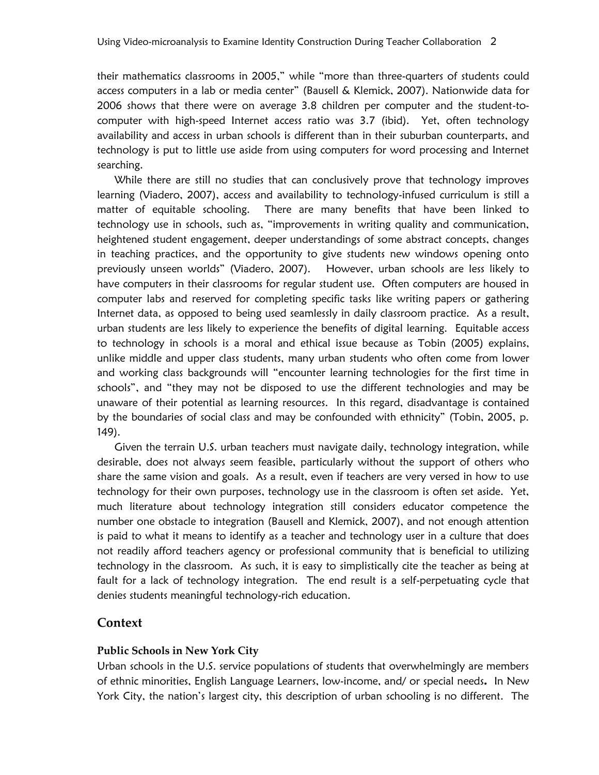their mathematics classrooms in 2005," while "more than three-quarters of students could access computers in a lab or media center" (Bausell & Klemick, 2007). Nationwide data for 2006 shows that there were on average 3.8 children per computer and the student-tocomputer with high-speed Internet access ratio was 3.7 (ibid). Yet, often technology availability and access in urban schools is different than in their suburban counterparts, and technology is put to little use aside from using computers for word processing and Internet searching.

While there are still no studies that can conclusively prove that technology improves learning (Viadero, 2007), access and availability to technology-infused curriculum is still a matter of equitable schooling. There are many benefits that have been linked to technology use in schools, such as, "improvements in writing quality and communication, heightened student engagement, deeper understandings of some abstract concepts, changes in teaching practices, and the opportunity to give students new windows opening onto previously unseen worlds" (Viadero, 2007). However, urban schools are less likely to have computers in their classrooms for regular student use. Often computers are housed in computer labs and reserved for completing specific tasks like writing papers or gathering Internet data, as opposed to being used seamlessly in daily classroom practice. As a result, urban students are less likely to experience the benefits of digital learning.Equitable access to technology in schools is a moral and ethical issue because as Tobin (2005) explains, unlike middle and upper class students, many urban students who often come from lower and working class backgrounds will "encounter learning technologies for the first time in schools", and "they may not be disposed to use the different technologies and may be unaware of their potential as learning resources. In this regard, disadvantage is contained by the boundaries of social class and may be confounded with ethnicity" (Tobin, 2005, p. 149).

Given the terrain U.S. urban teachers must navigate daily, technology integration, while desirable, does not always seem feasible, particularly without the support of others who share the same vision and goals. As a result, even if teachers are very versed in how to use technology for their own purposes, technology use in the classroom is often set aside. Yet, much literature about technology integration still considers educator competence the number one obstacle to integration (Bausell and Klemick, 2007), and not enough attention is paid to what it means to identify as a teacher and technology user in a culture that does not readily afford teachers agency or professional community that is beneficial to utilizing technology in the classroom. As such, it is easy to simplistically cite the teacher as being at fault for a lack of technology integration. The end result is a self-perpetuating cycle that denies students meaningful technology-rich education.

## **Context**

### **Public Schools in New York City**

Urban schools in the U.S. service populations of students that overwhelmingly are members of ethnic minorities, English Language Learners, low-income, and/ or special needs**.** In New York City, the nation's largest city, this description of urban schooling is no different. The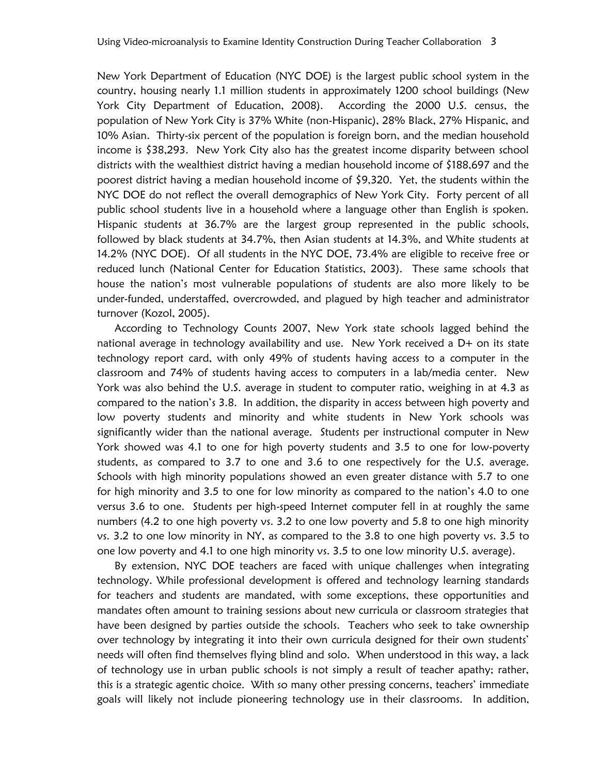New York Department of Education (NYC DOE) is the largest public school system in the country, housing nearly 1.1 million students in approximately 1200 school buildings (New York City Department of Education, 2008). According the 2000 U.S. census, the population of New York City is 37% White (non-Hispanic), 28% Black, 27% Hispanic, and 10% Asian. Thirty-six percent of the population is foreign born, and the median household income is \$38,293. New York City also has the greatest income disparity between school districts with the wealthiest district having a median household income of \$188,697 and the poorest district having a median household income of \$9,320. Yet, the students within the NYC DOE do not reflect the overall demographics of New York City. Forty percent of all public school students live in a household where a language other than English is spoken. Hispanic students at 36.7% are the largest group represented in the public schools, followed by black students at 34.7%, then Asian students at 14.3%, and White students at 14.2% (NYC DOE). Of all students in the NYC DOE, 73.4% are eligible to receive free or reduced lunch (National Center for Education Statistics, 2003). These same schools that house the nation"s most vulnerable populations of students are also more likely to be under-funded, understaffed, overcrowded, and plagued by high teacher and administrator turnover (Kozol, 2005).

According to Technology Counts 2007, New York state schools lagged behind the national average in technology availability and use. New York received a D+ on its state technology report card, with only 49% of students having access to a computer in the classroom and 74% of students having access to computers in a lab/media center. New York was also behind the U.S. average in student to computer ratio, weighing in at 4.3 as compared to the nation"s 3.8. In addition, the disparity in access between high poverty and low poverty students and minority and white students in New York schools was significantly wider than the national average. Students per instructional computer in New York showed was 4.1 to one for high poverty students and 3.5 to one for low-poverty students, as compared to 3.7 to one and 3.6 to one respectively for the U.S. average. Schools with high minority populations showed an even greater distance with 5.7 to one for high minority and 3.5 to one for low minority as compared to the nation's 4.0 to one versus 3.6 to one. Students per high-speed Internet computer fell in at roughly the same numbers (4.2 to one high poverty vs. 3.2 to one low poverty and 5.8 to one high minority vs. 3.2 to one low minority in NY, as compared to the 3.8 to one high poverty vs. 3.5 to one low poverty and 4.1 to one high minority vs. 3.5 to one low minority U.S. average).

By extension, NYC DOE teachers are faced with unique challenges when integrating technology. While professional development is offered and technology learning standards for teachers and students are mandated, with some exceptions, these opportunities and mandates often amount to training sessions about new curricula or classroom strategies that have been designed by parties outside the schools. Teachers who seek to take ownership over technology by integrating it into their own curricula designed for their own students' needs will often find themselves flying blind and solo. When understood in this way, a lack of technology use in urban public schools is not simply a result of teacher apathy; rather, this is a strategic agentic choice. With so many other pressing concerns, teachers' immediate goals will likely not include pioneering technology use in their classrooms. In addition,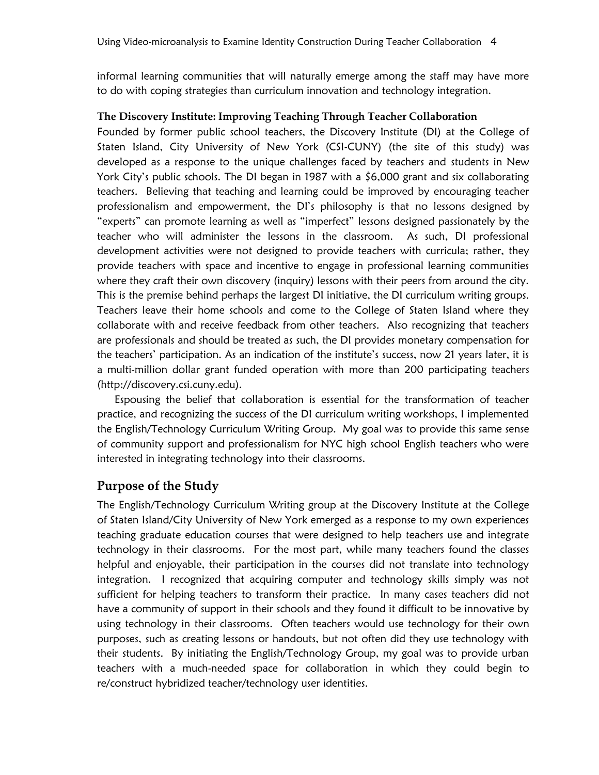informal learning communities that will naturally emerge among the staff may have more to do with coping strategies than curriculum innovation and technology integration.

## **The Discovery Institute: Improving Teaching Through Teacher Collaboration**

Founded by former public school teachers, the Discovery Institute (DI) at the College of Staten Island, City University of New York (CSI-CUNY) (the site of this study) was developed as a response to the unique challenges faced by teachers and students in New York City's public schools. The DI began in 1987 with a \$6,000 grant and six collaborating teachers. Believing that teaching and learning could be improved by encouraging teacher professionalism and empowerment, the DI"s philosophy is that no lessons designed by "experts" can promote learning as well as "imperfect" lessons designed passionately by the teacher who will administer the lessons in the classroom. As such, DI professional development activities were not designed to provide teachers with curricula; rather, they provide teachers with space and incentive to engage in professional learning communities where they craft their own discovery (inquiry) lessons with their peers from around the city. This is the premise behind perhaps the largest DI initiative, the DI curriculum writing groups. Teachers leave their home schools and come to the College of Staten Island where they collaborate with and receive feedback from other teachers. Also recognizing that teachers are professionals and should be treated as such, the DI provides monetary compensation for the teachers' participation. As an indication of the institute's success, now 21 years later, it is a multi-million dollar grant funded operation with more than 200 participating teachers (http://discovery.csi.cuny.edu).

Espousing the belief that collaboration is essential for the transformation of teacher practice, and recognizing the success of the DI curriculum writing workshops, I implemented the English/Technology Curriculum Writing Group. My goal was to provide this same sense of community support and professionalism for NYC high school English teachers who were interested in integrating technology into their classrooms.

## **Purpose of the Study**

The English/Technology Curriculum Writing group at the Discovery Institute at the College of Staten Island/City University of New York emerged as a response to my own experiences teaching graduate education courses that were designed to help teachers use and integrate technology in their classrooms. For the most part, while many teachers found the classes helpful and enjoyable, their participation in the courses did not translate into technology integration. I recognized that acquiring computer and technology skills simply was not sufficient for helping teachers to transform their practice. In many cases teachers did not have a community of support in their schools and they found it difficult to be innovative by using technology in their classrooms. Often teachers would use technology for their own purposes, such as creating lessons or handouts, but not often did they use technology with their students. By initiating the English/Technology Group, my goal was to provide urban teachers with a much-needed space for collaboration in which they could begin to re/construct hybridized teacher/technology user identities.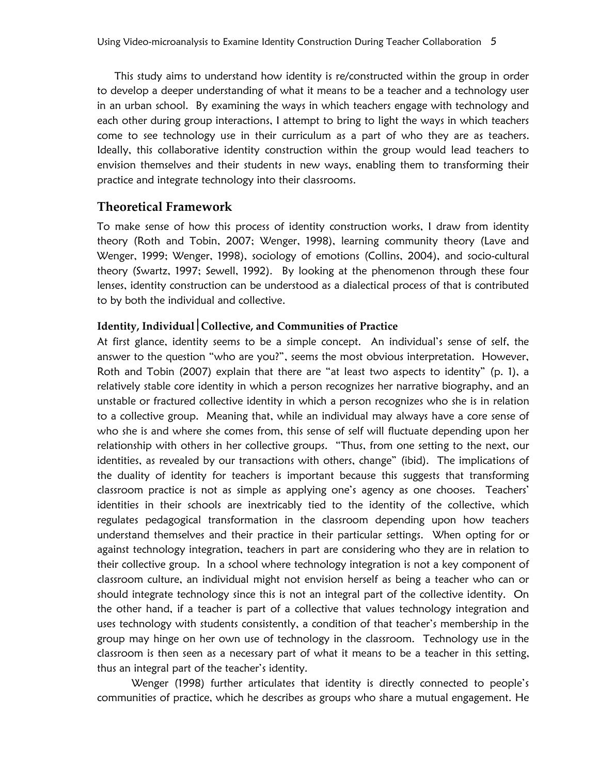This study aims to understand how identity is re/constructed within the group in order to develop a deeper understanding of what it means to be a teacher and a technology user in an urban school. By examining the ways in which teachers engage with technology and each other during group interactions, I attempt to bring to light the ways in which teachers come to see technology use in their curriculum as a part of who they are as teachers. Ideally, this collaborative identity construction within the group would lead teachers to envision themselves and their students in new ways, enabling them to transforming their practice and integrate technology into their classrooms.

## **Theoretical Framework**

To make sense of how this process of identity construction works, I draw from identity theory (Roth and Tobin, 2007; Wenger, 1998), learning community theory (Lave and Wenger, 1999; Wenger, 1998), sociology of emotions (Collins, 2004), and socio-cultural theory (Swartz, 1997; Sewell, 1992). By looking at the phenomenon through these four lenses, identity construction can be understood as a dialectical process of that is contributed to by both the individual and collective.

## **Identity, IndividualCollective, and Communities of Practice**

At first glance, identity seems to be a simple concept. An individual"s sense of self, the answer to the question "who are you?", seems the most obvious interpretation. However, Roth and Tobin (2007) explain that there are "at least two aspects to identity" (p. 1), a relatively stable core identity in which a person recognizes her narrative biography, and an unstable or fractured collective identity in which a person recognizes who she is in relation to a collective group. Meaning that, while an individual may always have a core sense of who she is and where she comes from, this sense of self will fluctuate depending upon her relationship with others in her collective groups. "Thus, from one setting to the next, our identities, as revealed by our transactions with others, change" (ibid). The implications of the duality of identity for teachers is important because this suggests that transforming classroom practice is not as simple as applying one"s agency as one chooses. Teachers" identities in their schools are inextricably tied to the identity of the collective, which regulates pedagogical transformation in the classroom depending upon how teachers understand themselves and their practice in their particular settings. When opting for or against technology integration, teachers in part are considering who they are in relation to their collective group. In a school where technology integration is not a key component of classroom culture, an individual might not envision herself as being a teacher who can or should integrate technology since this is not an integral part of the collective identity. On the other hand, if a teacher is part of a collective that values technology integration and uses technology with students consistently, a condition of that teacher's membership in the group may hinge on her own use of technology in the classroom. Technology use in the classroom is then seen as a necessary part of what it means to be a teacher in this setting, thus an integral part of the teacher"s identity.

Wenger (1998) further articulates that identity is directly connected to people's communities of practice, which he describes as groups who share a mutual engagement. He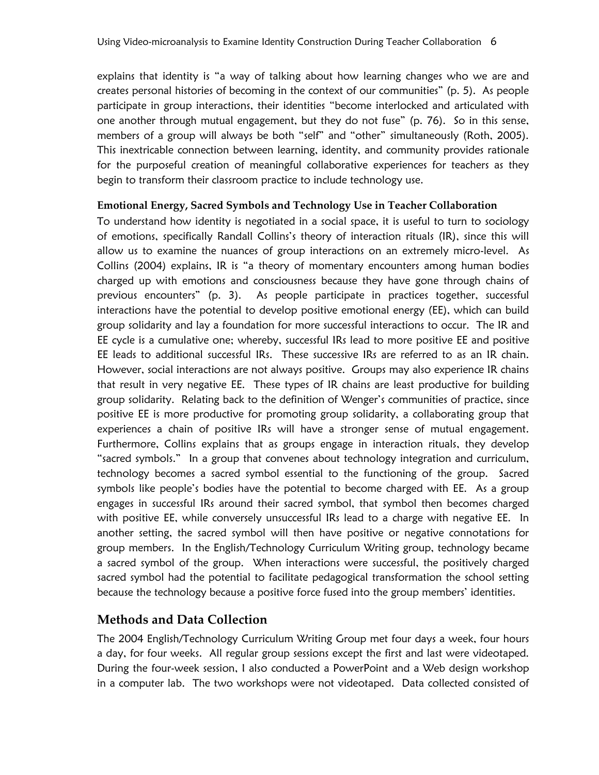explains that identity is "a way of talking about how learning changes who we are and creates personal histories of becoming in the context of our communities" (p. 5). As people participate in group interactions, their identities "become interlocked and articulated with one another through mutual engagement, but they do not fuse" (p. 76). So in this sense, members of a group will always be both "self" and "other" simultaneously (Roth, 2005). This inextricable connection between learning, identity, and community provides rationale for the purposeful creation of meaningful collaborative experiences for teachers as they begin to transform their classroom practice to include technology use.

## **Emotional Energy, Sacred Symbols and Technology Use in Teacher Collaboration**

To understand how identity is negotiated in a social space, it is useful to turn to sociology of emotions, specifically Randall Collins's theory of interaction rituals (IR), since this will allow us to examine the nuances of group interactions on an extremely micro-level. As Collins (2004) explains, IR is "a theory of momentary encounters among human bodies charged up with emotions and consciousness because they have gone through chains of previous encounters" (p. 3). As people participate in practices together, successful interactions have the potential to develop positive emotional energy (EE), which can build group solidarity and lay a foundation for more successful interactions to occur. The IR and EE cycle is a cumulative one; whereby, successful IRs lead to more positive EE and positive EE leads to additional successful IRs. These successive IRs are referred to as an IR chain. However, social interactions are not always positive. Groups may also experience IR chains that result in very negative EE. These types of IR chains are least productive for building group solidarity. Relating back to the definition of Wenger"s communities of practice, since positive EE is more productive for promoting group solidarity, a collaborating group that experiences a chain of positive IRs will have a stronger sense of mutual engagement. Furthermore, Collins explains that as groups engage in interaction rituals, they develop "sacred symbols." In a group that convenes about technology integration and curriculum, technology becomes a sacred symbol essential to the functioning of the group. Sacred symbols like people"s bodies have the potential to become charged with EE. As a group engages in successful IRs around their sacred symbol, that symbol then becomes charged with positive EE, while conversely unsuccessful IRs lead to a charge with negative EE. In another setting, the sacred symbol will then have positive or negative connotations for group members. In the English/Technology Curriculum Writing group, technology became a sacred symbol of the group. When interactions were successful, the positively charged sacred symbol had the potential to facilitate pedagogical transformation the school setting because the technology because a positive force fused into the group members' identities.

## **Methods and Data Collection**

The 2004 English/Technology Curriculum Writing Group met four days a week, four hours a day, for four weeks. All regular group sessions except the first and last were videotaped. During the four-week session, I also conducted a PowerPoint and a Web design workshop in a computer lab. The two workshops were not videotaped. Data collected consisted of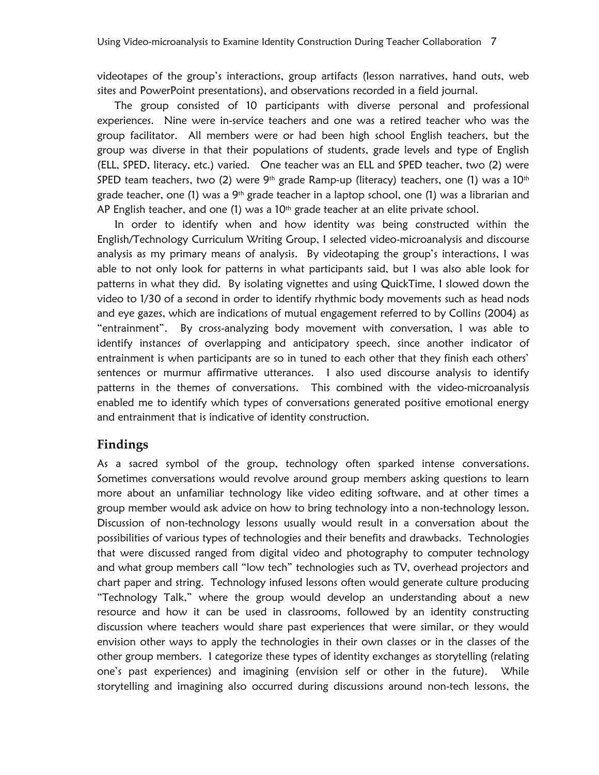videotapes of the group"s interactions, group artifacts (lesson narratives, hand outs, web sites and PowerPoint presentations), and observations recorded in a field journal.

The group consisted of 10 participants with diverse personal and professional experiences. Nine were in-service teachers and one was a retired teacher who was the group facilitator. All members were or had been high school English teachers, but the group was diverse in that their populations of students, grade levels and type of English (ELL, SPED, literacy, etc.) varied. One teacher was an ELL and SPED teacher, two (2) were SPED team teachers, two (2) were 9<sup>th</sup> grade Ramp-up (literacy) teachers, one (1) was a 10<sup>th</sup> grade teacher, one (1) was a 9<sup>th</sup> grade teacher in a laptop school, one (1) was a librarian and AP English teacher, and one  $(1)$  was a 10<sup>th</sup> grade teacher at an elite private school.

In order to identify when and how identity was being constructed within the English/Technology Curriculum Writing Group, I selected video-microanalysis and discourse analysis as my primary means of analysis. By videotaping the group"s interactions, I was able to not only look for patterns in what participants said, but I was also able look for patterns in what they did. By isolating vignettes and using QuickTime, I slowed down the video to 1/30 of a second in order to identify rhythmic body movements such as head nods and eye gazes, which are indications of mutual engagement referred to by Collins (2004) as "entrainment". By cross-analyzing body movement with conversation, I was able to identify instances of overlapping and anticipatory speech, since another indicator of entrainment is when participants are so in tuned to each other that they finish each others' sentences or murmur affirmative utterances. I also used discourse analysis to identify patterns in the themes of conversations. This combined with the video-microanalysis enabled me to identify which types of conversations generated positive emotional energy and entrainment that is indicative of identity construction.

## **Findings**

As a sacred symbol of the group, technology often sparked intense conversations. Sometimes conversations would revolve around group members asking questions to learn more about an unfamiliar technology like video editing software, and at other times a group member would ask advice on how to bring technology into a non-technology lesson. Discussion of non-technology lessons usually would result in a conversation about the possibilities of various types of technologies and their benefits and drawbacks. Technologies that were discussed ranged from digital video and photography to computer technology and what group members call "low tech" technologies such as TV, overhead projectors and chart paper and string. Technology infused lessons often would generate culture producing "Technology Talk," where the group would develop an understanding about a new resource and how it can be used in classrooms, followed by an identity constructing discussion where teachers would share past experiences that were similar, or they would envision other ways to apply the technologies in their own classes or in the classes of the other group members. I categorize these types of identity exchanges as storytelling (relating one"s past experiences) and imagining (envision self or other in the future). While storytelling and imagining also occurred during discussions around non-tech lessons, the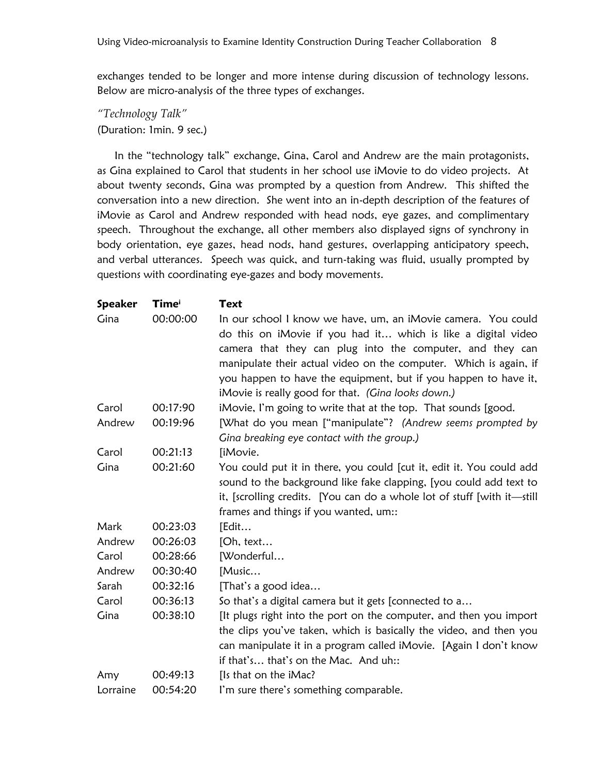exchanges tended to be longer and more intense during discussion of technology lessons. Below are micro-analysis of the three types of exchanges.

*"Technology Talk"* (Duration: 1min. 9 sec.)

In the "technology talk" exchange, Gina, Carol and Andrew are the main protagonists, as Gina explained to Carol that students in her school use iMovie to do video projects. At about twenty seconds, Gina was prompted by a question from Andrew. This shifted the conversation into a new direction. She went into an in-depth description of the features of iMovie as Carol and Andrew responded with head nods, eye gazes, and complimentary speech. Throughout the exchange, all other members also displayed signs of synchrony in body orientation, eye gazes, head nods, hand gestures, overlapping anticipatory speech, and verbal utterances. Speech was quick, and turn-taking was fluid, usually prompted by questions with coordinating eye-gazes and body movements.

| <b>Speaker</b> | Timei    | <b>Text</b>                                                                                                                    |
|----------------|----------|--------------------------------------------------------------------------------------------------------------------------------|
| Gina           | 00:00:00 | In our school I know we have, um, an iMovie camera. You could<br>do this on iMovie if you had it which is like a digital video |
|                |          | camera that they can plug into the computer, and they can                                                                      |
|                |          | manipulate their actual video on the computer. Which is again, if                                                              |
|                |          | you happen to have the equipment, but if you happen to have it,                                                                |
|                |          | iMovie is really good for that. (Gina looks down.)                                                                             |
| Carol          | 00:17:90 | iMovie, I'm going to write that at the top. That sounds [good.                                                                 |
| Andrew         | 00:19:96 | [What do you mean ["manipulate"? (Andrew seems prompted by                                                                     |
|                |          | Gina breaking eye contact with the group.)                                                                                     |
| Carol          | 00:21:13 | [iMovie.                                                                                                                       |
| Gina           | 00:21:60 | You could put it in there, you could [cut it, edit it. You could add                                                           |
|                |          | sound to the background like fake clapping, [you could add text to                                                             |
|                |          | it, [scrolling credits. [You can do a whole lot of stuff [with it-still]                                                       |
|                |          | frames and things if you wanted, um::                                                                                          |
| Mark           | 00:23:03 | [Edit                                                                                                                          |
| Andrew         | 00:26:03 | [Oh, text                                                                                                                      |
| Carol          | 00:28:66 | [Wonderful                                                                                                                     |
| Andrew         | 00:30:40 | [Music                                                                                                                         |
| Sarah          | 00:32:16 | [That's a good idea                                                                                                            |
| Carol          | 00:36:13 | So that's a digital camera but it gets [connected to a                                                                         |
| Gina           | 00:38:10 | [It plugs right into the port on the computer, and then you import                                                             |
|                |          | the clips you've taken, which is basically the video, and then you                                                             |
|                |          | can manipulate it in a program called iMovie. [Again I don't know                                                              |
|                |          | if that's that's on the Mac. And uh::                                                                                          |
| Amy            | 00:49:13 | [Is that on the iMac?                                                                                                          |
| Lorraine       | 00:54:20 | I'm sure there's something comparable.                                                                                         |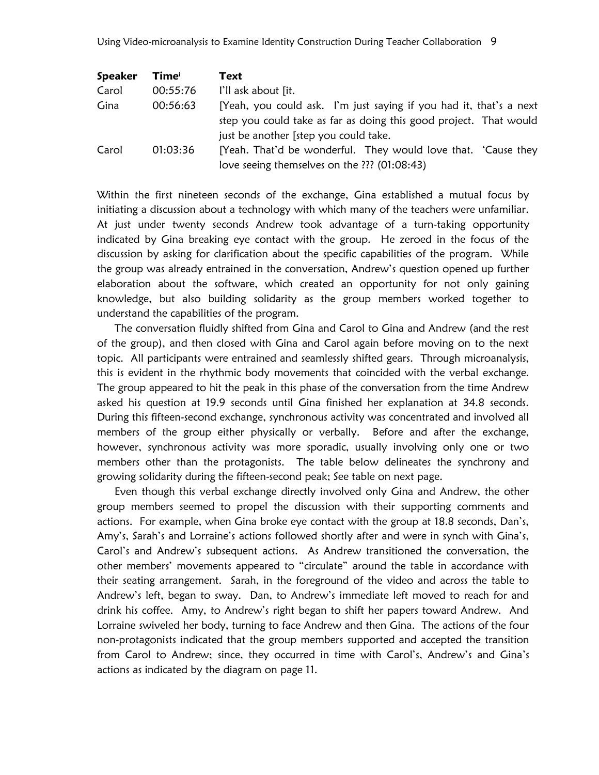| <b>Speaker</b> | Time     | Text                                                               |
|----------------|----------|--------------------------------------------------------------------|
| Carol          | 00:55:76 | I'll ask about [it.                                                |
| Gina           | 00:56:63 | [Yeah, you could ask. I'm just saying if you had it, that's a next |
|                |          | step you could take as far as doing this good project. That would  |
|                |          | just be another [step you could take.                              |
| Carol          | 01:03:36 | [Yeah. That'd be wonderful. They would love that. 'Cause they      |
|                |          | love seeing themselves on the ??? (01:08:43)                       |

Within the first nineteen seconds of the exchange, Gina established a mutual focus by initiating a discussion about a technology with which many of the teachers were unfamiliar. At just under twenty seconds Andrew took advantage of a turn-taking opportunity indicated by Gina breaking eye contact with the group. He zeroed in the focus of the discussion by asking for clarification about the specific capabilities of the program. While the group was already entrained in the conversation, Andrew's question opened up further elaboration about the software, which created an opportunity for not only gaining knowledge, but also building solidarity as the group members worked together to understand the capabilities of the program.

The conversation fluidly shifted from Gina and Carol to Gina and Andrew (and the rest of the group), and then closed with Gina and Carol again before moving on to the next topic. All participants were entrained and seamlessly shifted gears. Through microanalysis, this is evident in the rhythmic body movements that coincided with the verbal exchange. The group appeared to hit the peak in this phase of the conversation from the time Andrew asked his question at 19.9 seconds until Gina finished her explanation at 34.8 seconds. During this fifteen-second exchange, synchronous activity was concentrated and involved all members of the group either physically or verbally. Before and after the exchange, however, synchronous activity was more sporadic, usually involving only one or two members other than the protagonists. The table below delineates the synchrony and growing solidarity during the fifteen-second peak; See table on next page.

Even though this verbal exchange directly involved only Gina and Andrew, the other group members seemed to propel the discussion with their supporting comments and actions. For example, when Gina broke eye contact with the group at 18.8 seconds, Dan"s, Amy's, Sarah's and Lorraine's actions followed shortly after and were in synch with Gina's, Carol"s and Andrew"s subsequent actions. As Andrew transitioned the conversation, the other members" movements appeared to "circulate" around the table in accordance with their seating arrangement. Sarah, in the foreground of the video and across the table to Andrew"s left, began to sway. Dan, to Andrew"s immediate left moved to reach for and drink his coffee. Amy, to Andrew's right began to shift her papers toward Andrew. And Lorraine swiveled her body, turning to face Andrew and then Gina. The actions of the four non-protagonists indicated that the group members supported and accepted the transition from Carol to Andrew; since, they occurred in time with Carol's, Andrew's and Gina's actions as indicated by the diagram on page 11.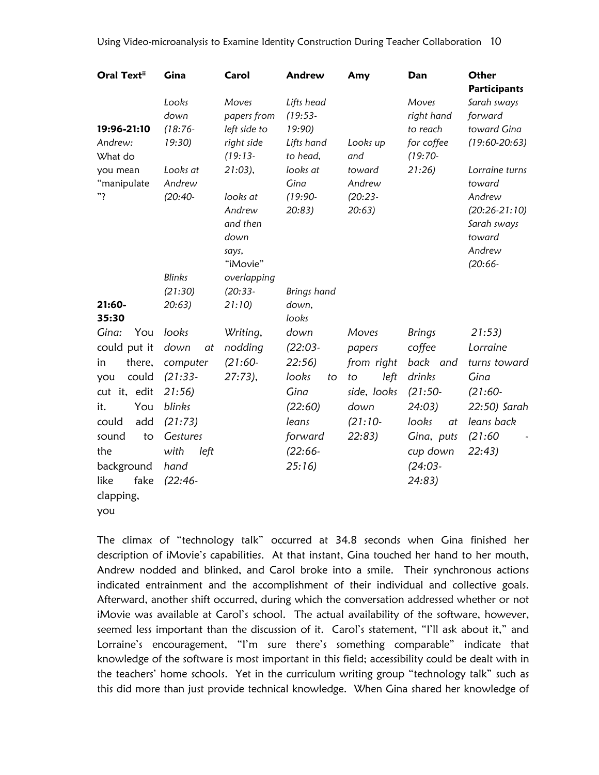| <b>Oral Textii</b>                                                                                                                                 | Gina                                                                                                        | Carol                                                                                    | Andrew                                                                             | Amy                                                                   | Dan                                                                                                        | Other<br><b>Participants</b>                                                                           |
|----------------------------------------------------------------------------------------------------------------------------------------------------|-------------------------------------------------------------------------------------------------------------|------------------------------------------------------------------------------------------|------------------------------------------------------------------------------------|-----------------------------------------------------------------------|------------------------------------------------------------------------------------------------------------|--------------------------------------------------------------------------------------------------------|
| 19:96-21:10<br>Andrew:<br>What do                                                                                                                  | Looks<br>down<br>$(18:76 -$<br>19:30                                                                        | Moves<br>papers from<br>left side to<br>right side<br>$(19:13-$                          | Lifts head<br>$(19:53-$<br>19:90<br>Lifts hand<br>to head,                         | Looks up<br>and                                                       | Moves<br>right hand<br>to reach<br>for coffee<br>$(19:70-$                                                 | Sarah sways<br>forward<br>toward Gina<br>$(19:60-20:63)$                                               |
| you mean<br>"manipulate<br>"?                                                                                                                      | Looks at<br>Andrew<br>$(20:40-$<br><b>Blinks</b>                                                            | $21:03$ ),<br>looks at<br>Andrew<br>and then<br>down<br>says,<br>"iMovie"<br>overlapping | looks at<br>Gina<br>$(19:90 -$<br>20:83)                                           | toward<br>Andrew<br>$(20:23 -$<br>20:63)                              | 21:26                                                                                                      | Lorraine turns<br>toward<br>Andrew<br>$(20:26-21:10)$<br>Sarah sways<br>toward<br>Andrew<br>$(20:66 -$ |
|                                                                                                                                                    | (21:30)                                                                                                     | $(20:33-$                                                                                | Brings hand                                                                        |                                                                       |                                                                                                            |                                                                                                        |
| $21:60-$<br>35:30                                                                                                                                  | 20:63)                                                                                                      | 21:10                                                                                    | down,<br>looks                                                                     |                                                                       |                                                                                                            |                                                                                                        |
| Gina:<br>You                                                                                                                                       | looks                                                                                                       | Writing,                                                                                 | down                                                                               | Moves                                                                 | <b>Brings</b>                                                                                              | 21:53                                                                                                  |
| could put it                                                                                                                                       | down<br>at                                                                                                  | nodding                                                                                  | $(22:03-$                                                                          | papers                                                                | coffee                                                                                                     | Lorraine                                                                                               |
| there,<br>in<br>could<br>you<br>cut it, edit<br>You<br>it.<br>could<br>add<br>sound<br>to<br>the<br>background<br>fake<br>like<br>clapping,<br>you | computer<br>$(21:33-$<br>21:56<br>blinks<br>(21:73)<br><b>Gestures</b><br>with<br>left<br>hand<br>$(22:46-$ | $(21:60-$<br>$27:73$ ),                                                                  | 22:56<br>looks<br>to<br>Gina<br>(22:60)<br>leans<br>forward<br>$(22:66 -$<br>25:16 | from right<br>left<br>to<br>side, looks<br>down<br>$(21:10-$<br>22:83 | back and<br>drinks<br>$(21:50-$<br>24:03)<br>looks<br>at<br>Gina, puts<br>cup down<br>$(24:03 -$<br>24:83) | turns toward<br>Gina<br>$(21:60-$<br>22:50) Sarah<br>leans back<br>(21:60)<br>22:43)                   |

The climax of "technology talk" occurred at 34.8 seconds when Gina finished her description of iMovie"s capabilities. At that instant, Gina touched her hand to her mouth, Andrew nodded and blinked, and Carol broke into a smile. Their synchronous actions indicated entrainment and the accomplishment of their individual and collective goals. Afterward, another shift occurred, during which the conversation addressed whether or not iMovie was available at Carol's school. The actual availability of the software, however, seemed less important than the discussion of it. Carol's statement, "I'll ask about it," and Lorraine's encouragement, "I'm sure there's something comparable" indicate that knowledge of the software is most important in this field; accessibility could be dealt with in the teachers' home schools. Yet in the curriculum writing group "technology talk" such as this did more than just provide technical knowledge. When Gina shared her knowledge of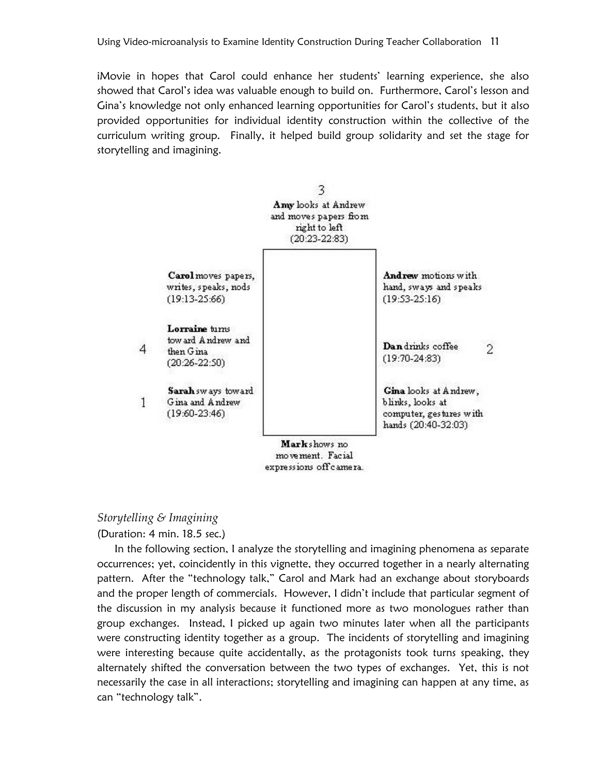iMovie in hopes that Carol could enhance her students" learning experience, she also showed that Carol's idea was valuable enough to build on. Furthermore, Carol's lesson and Gina"s knowledge not only enhanced learning opportunities for Carol"s students, but it also provided opportunities for individual identity construction within the collective of the curriculum writing group. Finally, it helped build group solidarity and set the stage for storytelling and imagining.



movement. Facial expressions off camera.

### *Storytelling & Imagining*

(Duration: 4 min. 18.5 sec.)

In the following section, I analyze the storytelling and imagining phenomena as separate occurrences; yet, coincidently in this vignette, they occurred together in a nearly alternating pattern. After the "technology talk," Carol and Mark had an exchange about storyboards and the proper length of commercials. However, I didn"t include that particular segment of the discussion in my analysis because it functioned more as two monologues rather than group exchanges. Instead, I picked up again two minutes later when all the participants were constructing identity together as a group. The incidents of storytelling and imagining were interesting because quite accidentally, as the protagonists took turns speaking, they alternately shifted the conversation between the two types of exchanges. Yet, this is not necessarily the case in all interactions; storytelling and imagining can happen at any time, as can "technology talk".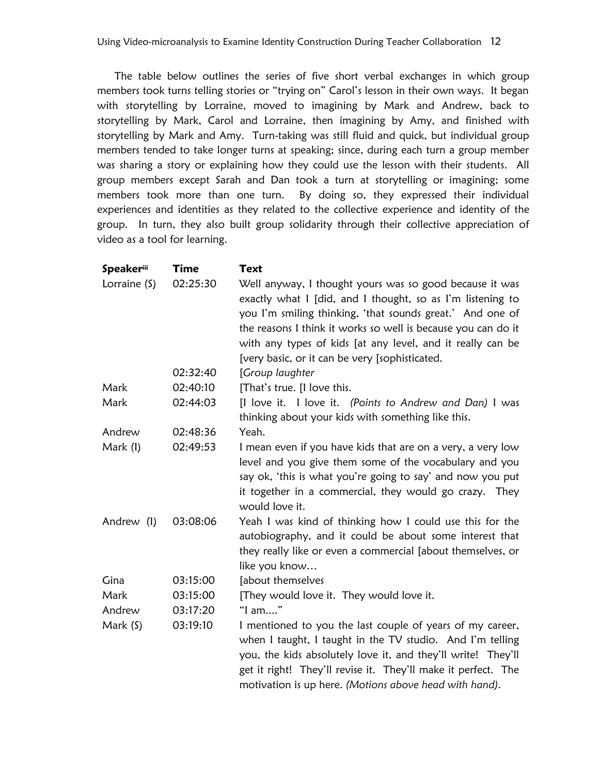The table below outlines the series of five short verbal exchanges in which group members took turns telling stories or "trying on" Carol"s lesson in their own ways. It began with storytelling by Lorraine, moved to imagining by Mark and Andrew, back to storytelling by Mark, Carol and Lorraine, then imagining by Amy, and finished with storytelling by Mark and Amy. Turn-taking was still fluid and quick, but individual group members tended to take longer turns at speaking; since, during each turn a group member was sharing a story or explaining how they could use the lesson with their students. All group members except Sarah and Dan took a turn at storytelling or imagining; some members took more than one turn. By doing so, they expressed their individual experiences and identities as they related to the collective experience and identity of the group. In turn, they also built group solidarity through their collective appreciation of video as a tool for learning.

| <b>Speakeriii</b> | Time     | Text                                                                                                                                                                                                                                                                                                              |
|-------------------|----------|-------------------------------------------------------------------------------------------------------------------------------------------------------------------------------------------------------------------------------------------------------------------------------------------------------------------|
| Lorraine (S)      | 02:25:30 | Well anyway, I thought yours was so good because it was<br>exactly what I [did, and I thought, so as I'm listening to<br>you I'm smiling thinking, 'that sounds great.' And one of                                                                                                                                |
|                   |          | the reasons I think it works so well is because you can do it<br>with any types of kids [at any level, and it really can be                                                                                                                                                                                       |
|                   |          | [very basic, or it can be very [sophisticated.                                                                                                                                                                                                                                                                    |
|                   | 02:32:40 | [Group laughter                                                                                                                                                                                                                                                                                                   |
| Mark              | 02:40:10 | [That's true. [I love this.                                                                                                                                                                                                                                                                                       |
| Mark              | 02:44:03 | [I love it. I love it. (Points to Andrew and Dan) I was<br>thinking about your kids with something like this.                                                                                                                                                                                                     |
| Andrew            | 02:48:36 | Yeah.                                                                                                                                                                                                                                                                                                             |
| Mark (I)          | 02:49:53 | I mean even if you have kids that are on a very, a very low<br>level and you give them some of the vocabulary and you<br>say ok, 'this is what you're going to say' and now you put<br>it together in a commercial, they would go crazy. They<br>would love it.                                                   |
| Andrew (I)        | 03:08:06 | Yeah I was kind of thinking how I could use this for the<br>autobiography, and it could be about some interest that<br>they really like or even a commercial [about themselves, or<br>like you know                                                                                                               |
| Gina              | 03:15:00 | [about themselves                                                                                                                                                                                                                                                                                                 |
| Mark              | 03:15:00 | [They would love it. They would love it.                                                                                                                                                                                                                                                                          |
| Andrew            | 03:17:20 | "I am"                                                                                                                                                                                                                                                                                                            |
| Mark (S)          | 03:19:10 | I mentioned to you the last couple of years of my career,<br>when I taught, I taught in the TV studio. And I'm telling<br>you, the kids absolutely love it, and they'll write! They'll<br>get it right! They'll revise it. They'll make it perfect. The<br>motivation is up here. (Motions above head with hand). |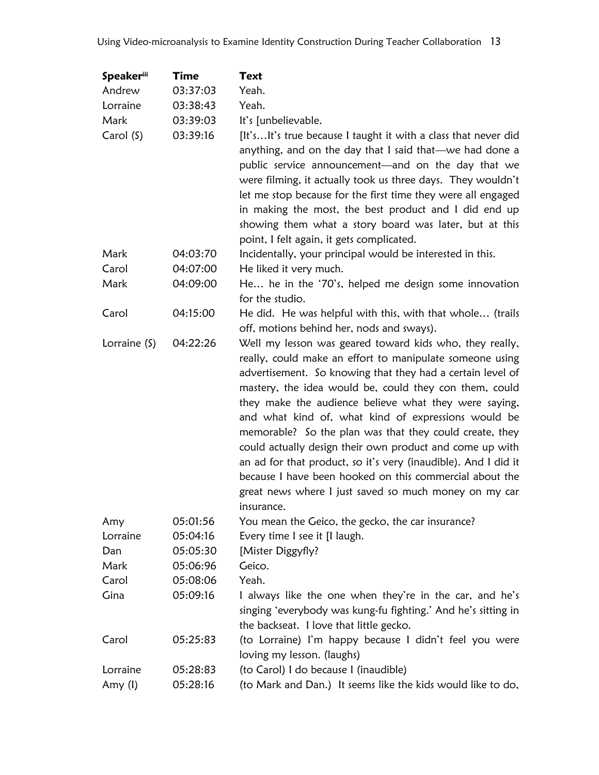| <b>Speakeriii</b> | Time     | Text                                                                                                                                                                                                                                                                                                                                                                                                                                                                                                                                                                                                                                                                                   |
|-------------------|----------|----------------------------------------------------------------------------------------------------------------------------------------------------------------------------------------------------------------------------------------------------------------------------------------------------------------------------------------------------------------------------------------------------------------------------------------------------------------------------------------------------------------------------------------------------------------------------------------------------------------------------------------------------------------------------------------|
| Andrew            | 03:37:03 | Yeah.                                                                                                                                                                                                                                                                                                                                                                                                                                                                                                                                                                                                                                                                                  |
| Lorraine          | 03:38:43 | Yeah.                                                                                                                                                                                                                                                                                                                                                                                                                                                                                                                                                                                                                                                                                  |
| Mark              | 03:39:03 | It's [unbelievable.                                                                                                                                                                                                                                                                                                                                                                                                                                                                                                                                                                                                                                                                    |
| Carol (S)         | 03:39:16 | [It'sIt's true because I taught it with a class that never did<br>anything, and on the day that I said that—we had done a<br>public service announcement—and on the day that we<br>were filming, it actually took us three days. They wouldn't<br>let me stop because for the first time they were all engaged<br>in making the most, the best product and I did end up<br>showing them what a story board was later, but at this<br>point, I felt again, it gets complicated.                                                                                                                                                                                                         |
| Mark              | 04:03:70 | Incidentally, your principal would be interested in this.                                                                                                                                                                                                                                                                                                                                                                                                                                                                                                                                                                                                                              |
| Carol             | 04:07:00 | He liked it very much.                                                                                                                                                                                                                                                                                                                                                                                                                                                                                                                                                                                                                                                                 |
| Mark              | 04:09:00 | He he in the '70's, helped me design some innovation<br>for the studio.                                                                                                                                                                                                                                                                                                                                                                                                                                                                                                                                                                                                                |
| Carol             | 04:15:00 | He did. He was helpful with this, with that whole (trails<br>off, motions behind her, nods and sways).                                                                                                                                                                                                                                                                                                                                                                                                                                                                                                                                                                                 |
| Lorraine (S)      | 04:22:26 | Well my lesson was geared toward kids who, they really,<br>really, could make an effort to manipulate someone using<br>advertisement. So knowing that they had a certain level of<br>mastery, the idea would be, could they con them, could<br>they make the audience believe what they were saying,<br>and what kind of, what kind of expressions would be<br>memorable? So the plan was that they could create, they<br>could actually design their own product and come up with<br>an ad for that product, so it's very (inaudible). And I did it<br>because I have been hooked on this commercial about the<br>great news where I just saved so much money on my car<br>insurance. |
| Amy               | 05:01:56 | You mean the Geico, the gecko, the car insurance?                                                                                                                                                                                                                                                                                                                                                                                                                                                                                                                                                                                                                                      |
| Lorraine          | 05:04:16 | Every time I see it [I laugh.                                                                                                                                                                                                                                                                                                                                                                                                                                                                                                                                                                                                                                                          |
| Dan               | 05:05:30 | [Mister Diggyfly?                                                                                                                                                                                                                                                                                                                                                                                                                                                                                                                                                                                                                                                                      |
| Mark              | 05:06:96 | Geico.                                                                                                                                                                                                                                                                                                                                                                                                                                                                                                                                                                                                                                                                                 |
| Carol             | 05:08:06 | Yeah.                                                                                                                                                                                                                                                                                                                                                                                                                                                                                                                                                                                                                                                                                  |
| Gina              | 05:09:16 | I always like the one when they're in the car, and he's<br>singing 'everybody was kung-fu fighting.' And he's sitting in<br>the backseat. I love that little gecko.                                                                                                                                                                                                                                                                                                                                                                                                                                                                                                                    |
| Carol             | 05:25:83 | (to Lorraine) I'm happy because I didn't feel you were<br>loving my lesson. (laughs)                                                                                                                                                                                                                                                                                                                                                                                                                                                                                                                                                                                                   |
| Lorraine          | 05:28:83 | (to Carol) I do because I (inaudible)                                                                                                                                                                                                                                                                                                                                                                                                                                                                                                                                                                                                                                                  |
| Amy (I)           | 05:28:16 | (to Mark and Dan.) It seems like the kids would like to do,                                                                                                                                                                                                                                                                                                                                                                                                                                                                                                                                                                                                                            |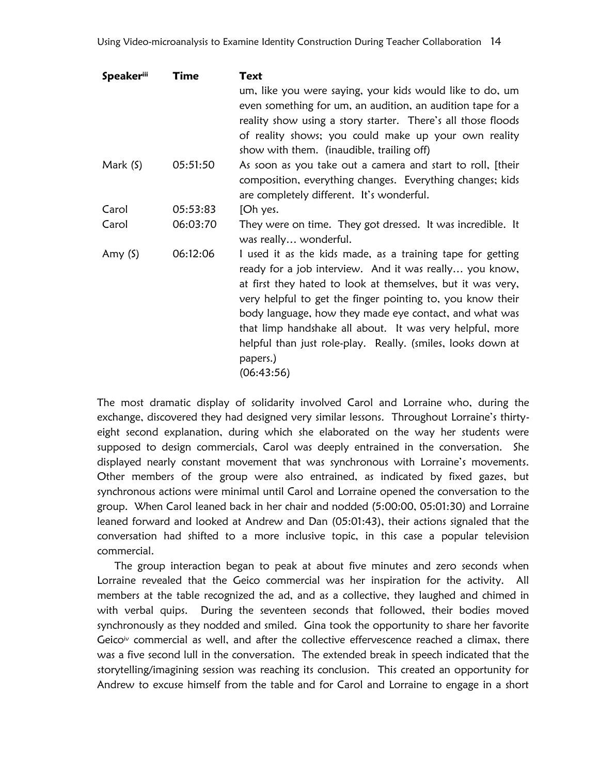| <b>Speakeriii</b> | <b>Time</b> | Text                                                                                                                                                                                                                                                                                                                                                                                                                                                             |
|-------------------|-------------|------------------------------------------------------------------------------------------------------------------------------------------------------------------------------------------------------------------------------------------------------------------------------------------------------------------------------------------------------------------------------------------------------------------------------------------------------------------|
|                   |             | um, like you were saying, your kids would like to do, um<br>even something for um, an audition, an audition tape for a                                                                                                                                                                                                                                                                                                                                           |
|                   |             | reality show using a story starter. There's all those floods<br>of reality shows; you could make up your own reality<br>show with them. (inaudible, trailing off)                                                                                                                                                                                                                                                                                                |
| Mark $(5)$        | 05:51:50    | As soon as you take out a camera and start to roll, [their<br>composition, everything changes. Everything changes; kids<br>are completely different. It's wonderful.                                                                                                                                                                                                                                                                                             |
| Carol             | 05:53:83    | [Oh yes.                                                                                                                                                                                                                                                                                                                                                                                                                                                         |
| Carol             | 06:03:70    | They were on time. They got dressed. It was incredible. It<br>was really wonderful.                                                                                                                                                                                                                                                                                                                                                                              |
| Amy $(5)$         | 06:12:06    | I used it as the kids made, as a training tape for getting<br>ready for a job interview. And it was really you know,<br>at first they hated to look at themselves, but it was very,<br>very helpful to get the finger pointing to, you know their<br>body language, how they made eye contact, and what was<br>that limp handshake all about. It was very helpful, more<br>helpful than just role-play. Really. (smiles, looks down at<br>papers.)<br>(06:43:56) |

The most dramatic display of solidarity involved Carol and Lorraine who, during the exchange, discovered they had designed very similar lessons. Throughout Lorraine"s thirtyeight second explanation, during which she elaborated on the way her students were supposed to design commercials, Carol was deeply entrained in the conversation. She displayed nearly constant movement that was synchronous with Lorraine"s movements. Other members of the group were also entrained, as indicated by fixed gazes, but synchronous actions were minimal until Carol and Lorraine opened the conversation to the group. When Carol leaned back in her chair and nodded (5:00:00, 05:01:30) and Lorraine leaned forward and looked at Andrew and Dan (05:01:43), their actions signaled that the conversation had shifted to a more inclusive topic, in this case a popular television commercial.

The group interaction began to peak at about five minutes and zero seconds when Lorraine revealed that the Geico commercial was her inspiration for the activity. All members at the table recognized the ad, and as a collective, they laughed and chimed in with verbal quips. During the seventeen seconds that followed, their bodies moved synchronously as they nodded and smiled. Gina took the opportunity to share her favorite Geico<sup>iv</sup> commercial as well, and after the collective effervescence reached a climax, there was a five second lull in the conversation. The extended break in speech indicated that the storytelling/imagining session was reaching its conclusion. This created an opportunity for Andrew to excuse himself from the table and for Carol and Lorraine to engage in a short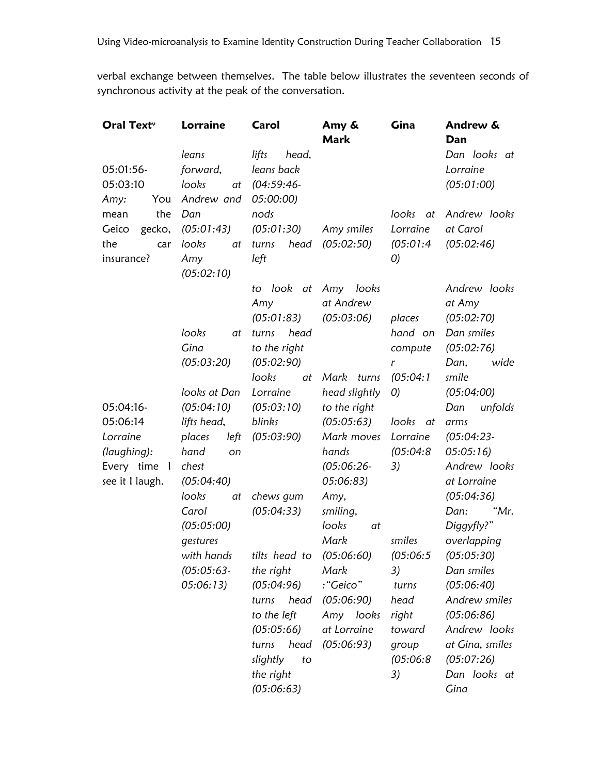verbal exchange between themselves. The table below illustrates the seventeen seconds of synchronous activity at the peak of the conversation.

| Oral Text <sup>v</sup>                                                              | <b>Lorraine</b>                                                                                  | Carol                                                                                                                                                             | Amy &<br><b>Mark</b>                                                                                                              | Gina                                                                                     | Andrew &<br>Dan                                                                                                                                                                                   |
|-------------------------------------------------------------------------------------|--------------------------------------------------------------------------------------------------|-------------------------------------------------------------------------------------------------------------------------------------------------------------------|-----------------------------------------------------------------------------------------------------------------------------------|------------------------------------------------------------------------------------------|---------------------------------------------------------------------------------------------------------------------------------------------------------------------------------------------------|
| 05:01:56-<br>05:03:10<br>Amy:<br>You                                                | leans<br>forward,<br>looks<br>at<br>Andrew and                                                   | lifts<br>head,<br>leans back<br>$(04:59:46-$<br>05:00:00)                                                                                                         |                                                                                                                                   |                                                                                          | Dan looks at<br>Lorraine<br>(05:01:00)                                                                                                                                                            |
| the<br>mean<br>Geico<br>gecko,<br>the<br>car<br>insurance?                          | Dan<br>(05:01:43)<br>looks<br>at<br>Amy<br>(05:02:10)                                            | nods<br>(05:01:30)<br>head<br>turns<br>left                                                                                                                       | Amy smiles<br>(05:02:50)                                                                                                          | looks<br>at<br>Lorraine<br>(05:01:4)<br>O                                                | Andrew looks<br>at Carol<br>(05:02:46)                                                                                                                                                            |
|                                                                                     | looks<br>at<br>Gina<br>(05:03:20)                                                                | to look at Amy looks<br>Amy<br>(05:01:83)<br>head<br>turns<br>to the right<br>(05:02:90)                                                                          | at Andrew<br>(05:03:06)                                                                                                           | places<br>hand on<br>compute<br>r                                                        | Andrew looks<br>at Amy<br>(05:02:70)<br>Dan smiles<br>(05:02:76)<br>Dan,<br>wide                                                                                                                  |
| 05:04:16-<br>05:06:14<br>Lorraine<br>(laughing):<br>Every time I<br>see it I laugh. | looks at Dan<br>(05:04:10)<br>lifts head,<br>places<br>left<br>hand<br>on<br>chest<br>(05:04:40) | looks<br>at<br>Lorraine<br>(05:03:10)<br>blinks<br>(05:03:90)                                                                                                     | Mark turns<br>head slightly<br>to the right<br>(05:05:63)<br>Mark moves<br>hands<br>$(05:06:26 -$<br>05:06:83)                    | (05:04:1)<br>O<br>looks at<br>Lorraine<br>(05:04:8)<br>3)                                | smile<br>(05:04:00)<br>Dan<br>unfolds<br>arms<br>$(05:04:23-$<br>05:05:16<br>Andrew looks<br>at Lorraine                                                                                          |
|                                                                                     | looks<br>at<br>Carol<br>(05:05:00)<br>gestures<br>with hands<br>$(05:05:63-$<br>05:06:13         | chews gum<br>(05:04:33)<br>tilts head to<br>the right<br>(05:04:96)<br>head<br>turns<br>to the left<br>(05:05:66)<br>head<br>turns<br>slightly<br>to<br>the right | Amy,<br>smiling,<br>looks<br>at<br>Mark<br>(05:06:60)<br>Mark<br>:"Geico"<br>(05:06:90)<br>Amy looks<br>at Lorraine<br>(05:06:93) | smiles<br>(05:06:5<br>3)<br>turns<br>head<br>right<br>toward<br>group<br>(05:06:8)<br>3) | (05:04:36)<br>"Mr.<br>Dan:<br>Diggyfly?"<br>overlapping<br>(05:05:30)<br>Dan smiles<br>(05:06:40)<br>Andrew smiles<br>(05:06:86)<br>Andrew looks<br>at Gina, smiles<br>(05:07:26)<br>Dan looks at |
|                                                                                     |                                                                                                  | (05:06:63)                                                                                                                                                        |                                                                                                                                   |                                                                                          | Gina                                                                                                                                                                                              |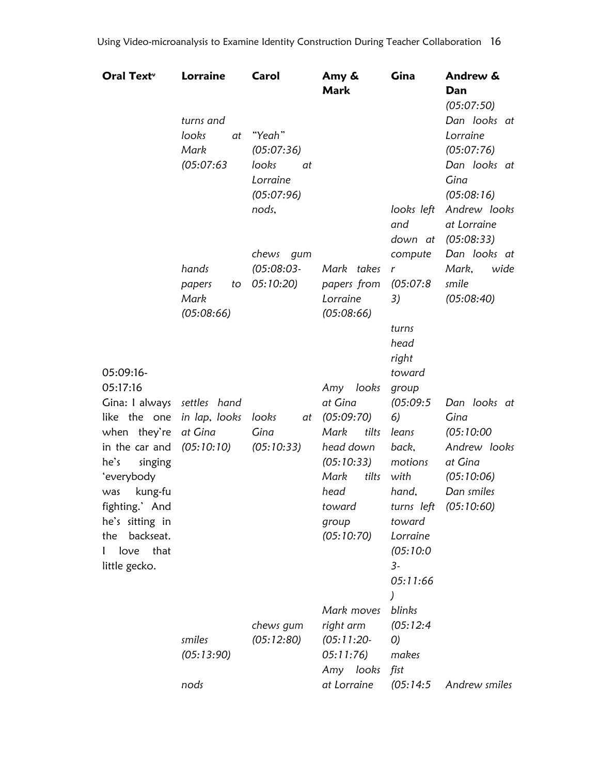| Oral Text <sup>,</sup>                  | <b>Lorraine</b>          | Carol                     | Amy &<br><b>Mark</b>      | Gina                         | Andrew &<br>Dan                           |
|-----------------------------------------|--------------------------|---------------------------|---------------------------|------------------------------|-------------------------------------------|
|                                         | turns and<br>looks<br>at | "Yeah"                    |                           |                              | (05:07:50)<br>Dan looks at<br>Lorraine    |
|                                         | Mark<br>(05:07:63)       | (05:07:36)<br>looks<br>at |                           |                              | (05:07:76)<br>Dan looks at                |
|                                         |                          | Lorraine<br>(05:07:96)    |                           |                              | Gina<br>(05:08:16)                        |
|                                         |                          | nods,                     |                           | looks left<br>and<br>down at | Andrew looks<br>at Lorraine<br>(05:08:33) |
|                                         |                          | chews gum                 |                           | compute                      | Dan looks at                              |
|                                         | hands<br>papers          | $(05:08:03-$<br>05:10:20) | Mark takes<br>papers from | $\mathbf{r}$<br>(05:07:8)    | Mark,<br>wide<br>smile                    |
|                                         | to<br>Mark<br>(05:08:66) |                           | Lorraine<br>(05:08:66)    | 3)                           | (05:08:40)                                |
|                                         |                          |                           |                           | turns                        |                                           |
|                                         |                          |                           |                           | head                         |                                           |
|                                         |                          |                           |                           | right                        |                                           |
| 05:09:16-                               |                          |                           |                           | toward                       |                                           |
| 05:17:16<br>Gina: I always settles hand |                          |                           | Amy looks<br>at Gina      | group<br>(05:09:5)           | Dan looks at                              |
| like the one                            | in lap, looks            | looks                     | at (05:09:70)             | 6)                           | Gina                                      |
| when they're                            | at Gina                  | Gina                      | Mark<br>tilts             | leans                        | (05:10:00                                 |
| in the car and                          | (05:10:10)               | (05:10:33)                | head down                 | back,                        | Andrew looks                              |
| he's<br>singing                         |                          |                           | (05:10:33)                | motions                      | at Gina                                   |
| 'everybody                              |                          |                           | Mark<br>tilts             | with                         | (05:10:06)                                |
| kung-fu<br>was                          |                          |                           | head                      | hand,                        | Dan smiles                                |
| fighting.' And<br>he's sitting in       |                          |                           | toward<br>group           | toward                       | turns left (05:10:60)                     |
| backseat.<br>the                        |                          |                           | (05:10:70)                | Lorraine                     |                                           |
| I love that                             |                          |                           |                           | (05:10:0                     |                                           |
| little gecko.                           |                          |                           |                           | $3-$                         |                                           |
|                                         |                          |                           |                           | 05:11:66                     |                                           |
|                                         |                          |                           |                           |                              |                                           |
|                                         |                          | chews gum                 | Mark moves<br>right arm   | blinks<br>(05:12:4)          |                                           |
|                                         | smiles                   | (05:12:80)                | $(05:11:20-$              | O                            |                                           |
|                                         | (05:13:90)               |                           | 05:11:76)                 | makes                        |                                           |
|                                         |                          |                           | Amy looks                 | fist                         |                                           |
|                                         | nods                     |                           | at Lorraine               | (05:14:5                     | Andrew smiles                             |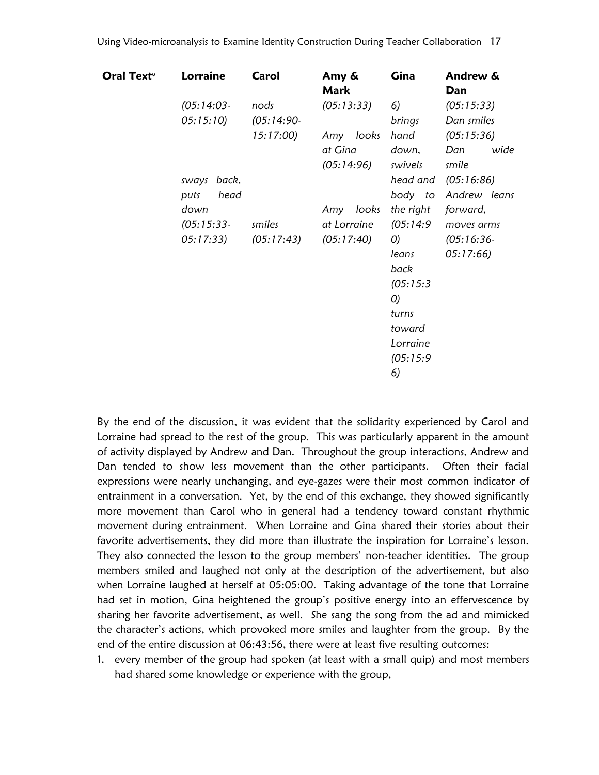| Oral Text <sup>,</sup> | <b>Lorraine</b>                   | Carol                            | Amy &<br><b>Mark</b>                   | Gina                                                                                                                        | Andrew &<br>Dan                                    |
|------------------------|-----------------------------------|----------------------------------|----------------------------------------|-----------------------------------------------------------------------------------------------------------------------------|----------------------------------------------------|
|                        | $(05:14:03-$<br>05:15:10          | nods<br>$(05:14:90-$<br>15:17:00 | (05:13:33)<br>Amy looks                | 6)<br>brings<br>hand                                                                                                        | (05:15:33)<br>Dan smiles<br>(05:15:36)             |
|                        | sways back,<br>head<br>puts       |                                  | at Gina<br>(05:14:96)                  | down,<br>swivels<br>head and<br>body to                                                                                     | Dan<br>wide<br>smile<br>(05:16:86)<br>Andrew leans |
|                        | down<br>$(05:15:33-$<br>05:17:33) | smiles<br>(05:17:43)             | Amy looks<br>at Lorraine<br>(05:17:40) | the right<br>(05:14:9<br>$\mathcal{O}$<br>leans<br>back<br>(05:15:3)<br>O<br>turns<br>toward<br>Lorraine<br>(05:15:9)<br>6) | forward,<br>moves arms<br>$(05:16:36-$<br>05:17:66 |

By the end of the discussion, it was evident that the solidarity experienced by Carol and Lorraine had spread to the rest of the group. This was particularly apparent in the amount of activity displayed by Andrew and Dan. Throughout the group interactions, Andrew and Dan tended to show less movement than the other participants. Often their facial expressions were nearly unchanging, and eye-gazes were their most common indicator of entrainment in a conversation. Yet, by the end of this exchange, they showed significantly more movement than Carol who in general had a tendency toward constant rhythmic movement during entrainment. When Lorraine and Gina shared their stories about their favorite advertisements, they did more than illustrate the inspiration for Lorraine's lesson. They also connected the lesson to the group members' non-teacher identities. The group members smiled and laughed not only at the description of the advertisement, but also when Lorraine laughed at herself at 05:05:00. Taking advantage of the tone that Lorraine had set in motion, Gina heightened the group's positive energy into an effervescence by sharing her favorite advertisement, as well. She sang the song from the ad and mimicked the character"s actions, which provoked more smiles and laughter from the group. By the end of the entire discussion at 06:43:56, there were at least five resulting outcomes:

1. every member of the group had spoken (at least with a small quip) and most members had shared some knowledge or experience with the group,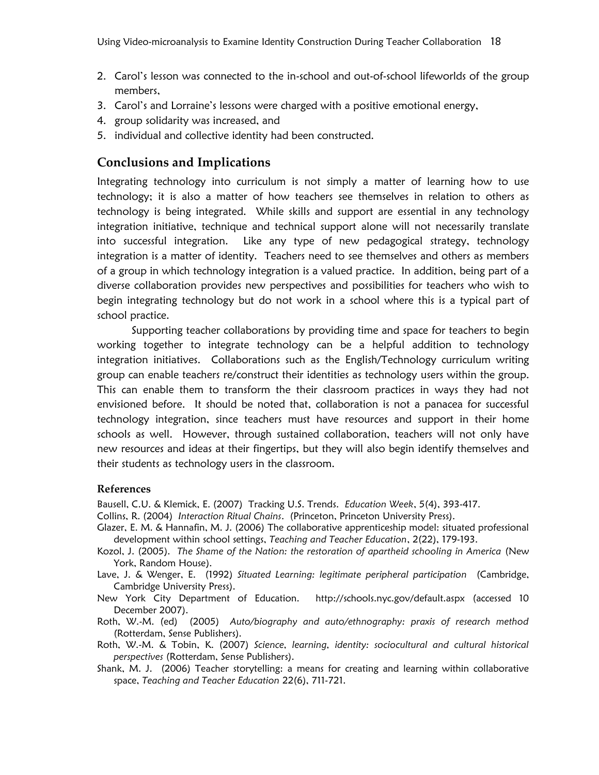- 2. Carol"s lesson was connected to the in-school and out-of-school lifeworlds of the group members,
- 3. Carol"s and Lorraine"s lessons were charged with a positive emotional energy,
- 4. group solidarity was increased, and
- 5. individual and collective identity had been constructed.

## **Conclusions and Implications**

Integrating technology into curriculum is not simply a matter of learning how to use technology; it is also a matter of how teachers see themselves in relation to others as technology is being integrated. While skills and support are essential in any technology integration initiative, technique and technical support alone will not necessarily translate into successful integration. Like any type of new pedagogical strategy, technology integration is a matter of identity. Teachers need to see themselves and others as members of a group in which technology integration is a valued practice. In addition, being part of a diverse collaboration provides new perspectives and possibilities for teachers who wish to begin integrating technology but do not work in a school where this is a typical part of school practice.

Supporting teacher collaborations by providing time and space for teachers to begin working together to integrate technology can be a helpful addition to technology integration initiatives. Collaborations such as the English/Technology curriculum writing group can enable teachers re/construct their identities as technology users within the group. This can enable them to transform the their classroom practices in ways they had not envisioned before. It should be noted that, collaboration is not a panacea for successful technology integration, since teachers must have resources and support in their home schools as well. However, through sustained collaboration, teachers will not only have new resources and ideas at their fingertips, but they will also begin identify themselves and their students as technology users in the classroom.

#### **References**

Bausell, C.U. & Klemick, E. (2007) Tracking U.S. Trends. *Education Week*, 5(4), 393-417.

- Collins, R. (2004) *Interaction Ritual Chains*. (Princeton, Princeton University Press).
- Glazer, E. M. & Hannafin, M. J. (2006) The collaborative apprenticeship model: situated professional development within school settings, *Teaching and Teacher Education*, 2(22), 179-193.
- Kozol, J. (2005). *The Shame of the Nation: the restoration of apartheid schooling in America* (New York, Random House).
- Lave, J. & Wenger, E. (1992) *Situated Learning: legitimate peripheral participation* (Cambridge, Cambridge University Press).
- New York City Department of Education. http://schools.nyc.gov/default.aspx (accessed 10 December 2007).
- Roth, W.-M. (ed) (2005) *Auto/biography and auto/ethnography: praxis of research method* (Rotterdam, Sense Publishers).
- Roth, W.-M. & Tobin, K. (2007) *Science, learning, identity: sociocultural and cultural historical perspectives* (Rotterdam, Sense Publishers).
- Shank, M. J. (2006) Teacher storytelling: a means for creating and learning within collaborative space, *Teaching and Teacher Education* 22(6), 711-721.